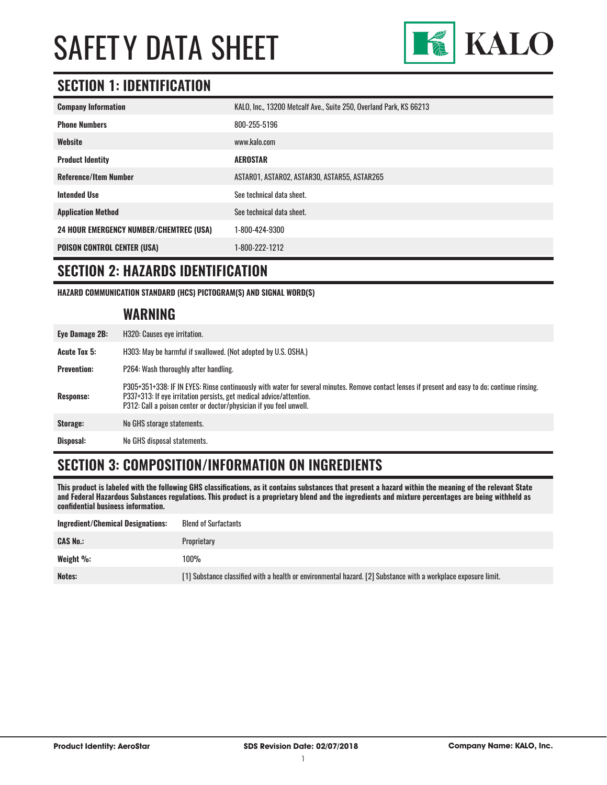

### **SECTION 1: IDENTIFICATION**

| <b>Company Information</b>                     | KALO, Inc., 13200 Metcalf Ave., Suite 250, Overland Park, KS 66213 |
|------------------------------------------------|--------------------------------------------------------------------|
| <b>Phone Numbers</b>                           | 800-255-5196                                                       |
| Website                                        | www.kalo.com                                                       |
| <b>Product Identity</b>                        | <b>AEROSTAR</b>                                                    |
| <b>Reference/Item Number</b>                   | ASTARO1, ASTARO2, ASTAR30, ASTAR55, ASTAR265                       |
| <b>Intended Use</b>                            | See technical data sheet.                                          |
| <b>Application Method</b>                      | See technical data sheet.                                          |
| <b>24 HOUR EMERGENCY NUMBER/CHEMTREC (USA)</b> | 1-800-424-9300                                                     |
| <b>POISON CONTROL CENTER (USA)</b>             | 1-800-222-1212                                                     |

#### **SECTION 2: HAZARDS IDENTIFICATION**

**HAZARD COMMUNICATION STANDARD (HCS) PICTOGRAM(S) AND SIGNAL WORD(S)**

#### **WARNING**

| Eye Damage 2B:      | H320: Causes eye irritation.                                                                                                                                                                                                                                                                 |  |
|---------------------|----------------------------------------------------------------------------------------------------------------------------------------------------------------------------------------------------------------------------------------------------------------------------------------------|--|
| <b>Acute Tox 5:</b> | H303: May be harmful if swallowed. (Not adopted by U.S. OSHA.)                                                                                                                                                                                                                               |  |
| <b>Prevention:</b>  | P264: Wash thoroughly after handling.                                                                                                                                                                                                                                                        |  |
| <b>Response:</b>    | P305+351+338: IF IN EYES: Rinse continuously with water for several minutes. Remove contact lenses if present and easy to do; continue rinsing.<br>P337+313: If eye irritation persists, get medical advice/attention.<br>P312: Call a poison center or doctor/physician if you feel unwell. |  |
| Storage:            | No GHS storage statements.                                                                                                                                                                                                                                                                   |  |
| Disposal:           | No GHS disposal statements.                                                                                                                                                                                                                                                                  |  |

### **SECTION 3: COMPOSITION/INFORMATION ON INGREDIENTS**

**This product is labeled with the following GHS classifications, as it contains substances that present a hazard within the meaning of the relevant State and Federal Hazardous Substances regulations. This product is a proprietary blend and the ingredients and mixture percentages are being withheld as confidential business information.**

| Ingredient/Chemical Designations: | <b>Blend of Surfactants</b>                                                                                    |
|-----------------------------------|----------------------------------------------------------------------------------------------------------------|
| <b>CAS No.:</b>                   | Proprietary                                                                                                    |
| Weight %:                         | 100%                                                                                                           |
| Notes:                            | [1] Substance classified with a health or environmental hazard. [2] Substance with a workplace exposure limit. |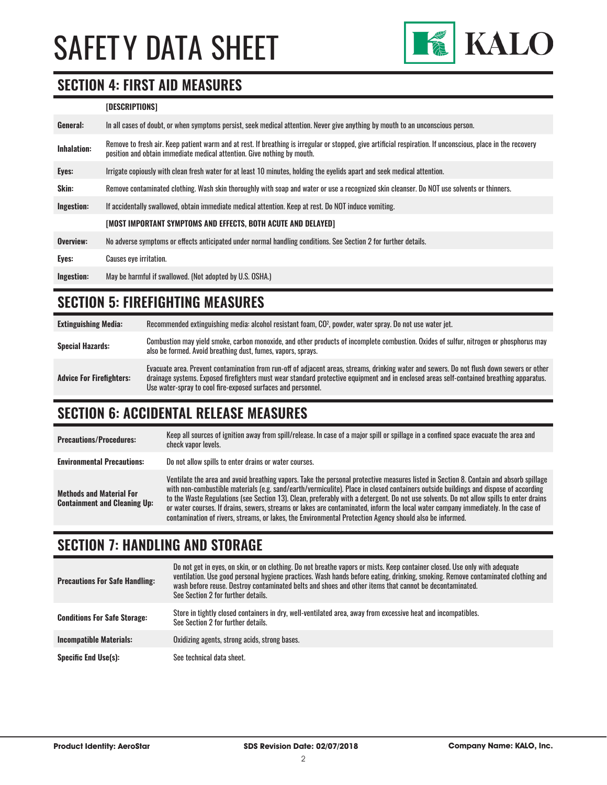

#### **SECTION 4: FIRST AID MEASURES**

#### **[DESCRIPTIONS]**

| General:           | In all cases of doubt, or when symptoms persist, seek medical attention. Never give anything by mouth to an unconscious person.                                                                                                         |
|--------------------|-----------------------------------------------------------------------------------------------------------------------------------------------------------------------------------------------------------------------------------------|
| <b>Inhalation:</b> | Remove to fresh air. Keep patient warm and at rest. If breathing is irregular or stopped, give artificial respiration. If unconscious, place in the recovery<br>position and obtain immediate medical attention. Give nothing by mouth. |
| Eyes:              | Irrigate copiously with clean fresh water for at least 10 minutes, holding the eyelids apart and seek medical attention.                                                                                                                |
| Skin:              | Remove contaminated clothing. Wash skin thoroughly with soap and water or use a recognized skin cleanser. Do NOT use solvents or thinners.                                                                                              |
| Ingestion:         | If accidentally swallowed, obtain immediate medical attention. Keep at rest, Do NOT induce vomiting.                                                                                                                                    |
|                    | [MOST IMPORTANT SYMPTOMS AND EFFECTS, BOTH ACUTE AND DELAYED]                                                                                                                                                                           |
| Overview:          | No adverse symptoms or effects anticipated under normal handling conditions. See Section 2 for further details.                                                                                                                         |
| Eyes:              | <b>Causes eve irritation.</b>                                                                                                                                                                                                           |
| Ingestion:         | May be harmful if swallowed. (Not adopted by U.S. OSHA.)                                                                                                                                                                                |

### **SECTION 5: FIREFIGHTING MEASURES**

| <b>Extinguishing Media:</b>     | Recommended extinguishing media: alcohol resistant foam, CO <sup>2</sup> , powder, water spray. Do not use water jet.                                                                                                                                                                                                                                  |
|---------------------------------|--------------------------------------------------------------------------------------------------------------------------------------------------------------------------------------------------------------------------------------------------------------------------------------------------------------------------------------------------------|
| <b>Special Hazards:</b>         | Combustion may yield smoke, carbon monoxide, and other products of incomplete combustion. Oxides of sulfur, nitrogen or phosphorus may<br>also be formed. Avoid breathing dust, fumes, vapors, sprays.                                                                                                                                                 |
| <b>Advice For Firefighters:</b> | Evacuate area. Prevent contamination from run-off of adjacent areas, streams, drinking water and sewers. Do not flush down sewers or other<br>drainage systems. Exposed firefighters must wear standard protective equipment and in enclosed areas self-contained breathing apparatus.<br>Use water-spray to cool fire-exposed surfaces and personnel. |

#### **SECTION 6: ACCIDENTAL RELEASE MEASURES**

| <b>Precautions/Procedures:</b>                                         | Keep all sources of ignition away from spill/release. In case of a major spill or spillage in a confined space evacuate the area and<br>check vapor levels.                                                                                                                                                                                                                                                                                                                                                                                                                                                                                                               |
|------------------------------------------------------------------------|---------------------------------------------------------------------------------------------------------------------------------------------------------------------------------------------------------------------------------------------------------------------------------------------------------------------------------------------------------------------------------------------------------------------------------------------------------------------------------------------------------------------------------------------------------------------------------------------------------------------------------------------------------------------------|
| <b>Environmental Precautions:</b>                                      | Do not allow spills to enter drains or water courses.                                                                                                                                                                                                                                                                                                                                                                                                                                                                                                                                                                                                                     |
| <b>Methods and Material For</b><br><b>Containment and Cleaning Up:</b> | Ventilate the area and avoid breathing vapors. Take the personal protective measures listed in Section 8. Contain and absorb spillage<br>with non-combustible materials (e.g. sand/earth/vermiculite). Place in closed containers outside buildings and dispose of according<br>to the Waste Regulations (see Section 13). Clean, preferably with a detergent. Do not use solvents. Do not allow spills to enter drains<br>or water courses. If drains, sewers, streams or lakes are contaminated, inform the local water company immediately. In the case of<br>contamination of rivers, streams, or lakes, the Environmental Protection Agency should also be informed. |

### **SECTION 7: HANDLING AND STORAGE**

| <b>Precautions For Safe Handling:</b> | Do not get in eyes, on skin, or on clothing. Do not breathe vapors or mists. Keep container closed. Use only with adequate<br>ventilation. Use good personal hygiene practices. Wash hands before eating, drinking, smoking. Remove contaminated clothing and<br>wash before reuse. Destroy contaminated belts and shoes and other items that cannot be decontaminated.<br>See Section 2 for further details. |
|---------------------------------------|---------------------------------------------------------------------------------------------------------------------------------------------------------------------------------------------------------------------------------------------------------------------------------------------------------------------------------------------------------------------------------------------------------------|
| <b>Conditions For Safe Storage:</b>   | Store in tightly closed containers in dry, well-ventilated area, away from excessive heat and incompatibles.<br>See Section 2 for further details.                                                                                                                                                                                                                                                            |
| <b>Incompatible Materials:</b>        | Oxidizing agents, strong acids, strong bases.                                                                                                                                                                                                                                                                                                                                                                 |
| <b>Specific End Use(s):</b>           | See technical data sheet.                                                                                                                                                                                                                                                                                                                                                                                     |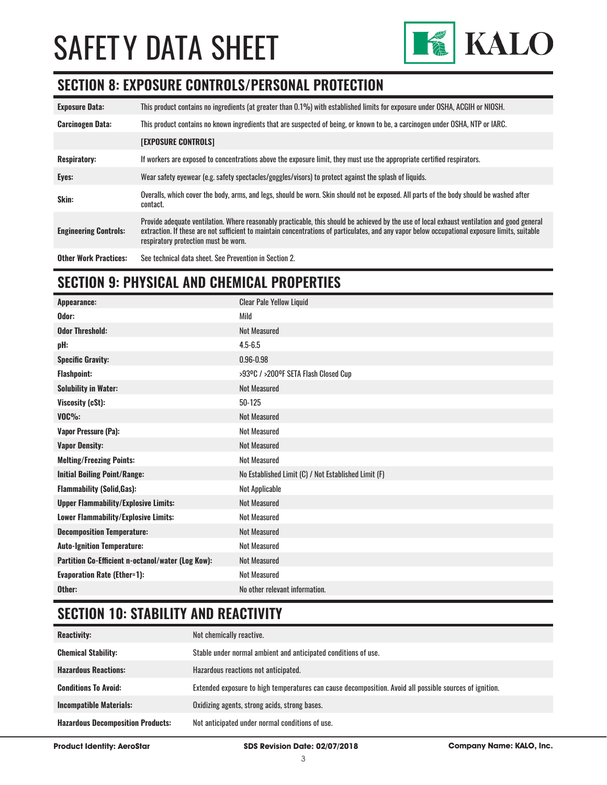

### **SECTION 8: EXPOSURE CONTROLS/PERSONAL PROTECTION**

| <b>Exposure Data:</b>        | This product contains no ingredients (at greater than 0.1%) with established limits for exposure under OSHA, ACGIH or NIOSH.                                                                                                                                                                                                           |
|------------------------------|----------------------------------------------------------------------------------------------------------------------------------------------------------------------------------------------------------------------------------------------------------------------------------------------------------------------------------------|
| <b>Carcinogen Data:</b>      | This product contains no known ingredients that are suspected of being, or known to be, a carcinogen under OSHA, NTP or IARC.                                                                                                                                                                                                          |
|                              | <b>[EXPOSURE CONTROLS]</b>                                                                                                                                                                                                                                                                                                             |
| <b>Respiratory:</b>          | If workers are exposed to concentrations above the exposure limit, they must use the appropriate certified respirators.                                                                                                                                                                                                                |
| Eyes:                        | Wear safety eyewear (e.g. safety spectacles/goggles/visors) to protect against the splash of liquids.                                                                                                                                                                                                                                  |
| Skin:                        | Overalls, which cover the body, arms, and legs, should be worn. Skin should not be exposed. All parts of the body should be washed after<br>contact.                                                                                                                                                                                   |
| <b>Engineering Controls:</b> | Provide adequate ventilation. Where reasonably practicable, this should be achieved by the use of local exhaust ventilation and good general<br>extraction. If these are not sufficient to maintain concentrations of particulates, and any vapor below occupational exposure limits, suitable<br>respiratory protection must be worn. |
| <b>Other Work Practices:</b> | See technical data sheet. See Prevention in Section 2.                                                                                                                                                                                                                                                                                 |

### **SECTION 9: PHYSICAL AND CHEMICAL PROPERTIES**

| <b>Clear Pale Yellow Liquid</b>                      |
|------------------------------------------------------|
| Mild                                                 |
| <b>Not Measured</b>                                  |
| $4.5 - 6.5$                                          |
| $0.96 - 0.98$                                        |
| >93ºC / >200ºF SETA Flash Closed Cup                 |
| <b>Not Measured</b>                                  |
| 50-125                                               |
| <b>Not Measured</b>                                  |
| Not Measured                                         |
| <b>Not Measured</b>                                  |
| <b>Not Measured</b>                                  |
| No Established Limit (C) / Not Established Limit (F) |
| Not Applicable                                       |
| <b>Not Measured</b>                                  |
| <b>Not Measured</b>                                  |
| <b>Not Measured</b>                                  |
| <b>Not Measured</b>                                  |
| <b>Not Measured</b>                                  |
| <b>Not Measured</b>                                  |
| No other relevant information.                       |
|                                                      |

# **SECTION 10: STABILITY AND REACTIVITY**

| <b>Reactivity:</b>                       | Not chemically reactive.                                                                                |
|------------------------------------------|---------------------------------------------------------------------------------------------------------|
| <b>Chemical Stability:</b>               | Stable under normal ambient and anticipated conditions of use.                                          |
| <b>Hazardous Reactions:</b>              | Hazardous reactions not anticipated.                                                                    |
| <b>Conditions To Avoid:</b>              | Extended exposure to high temperatures can cause decomposition. Avoid all possible sources of ignition. |
| <b>Incompatible Materials:</b>           | Oxidizing agents, strong acids, strong bases.                                                           |
| <b>Hazardous Decomposition Products:</b> | Not anticipated under normal conditions of use.                                                         |

**Product Identity: AeroStar SDS Revision Date: 02/07/2018 Company Name: KALO, Inc.**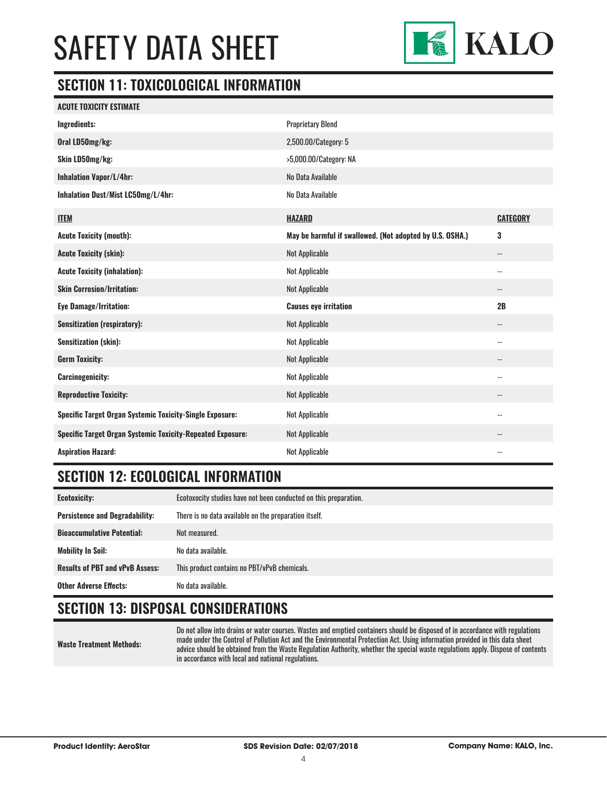

### **SECTION 11: TOXICOLOGICAL INFORMATION**

| ACUTE TOXICITY ESTIMATE                                           |                                                          |                          |
|-------------------------------------------------------------------|----------------------------------------------------------|--------------------------|
| <b>Ingredients:</b>                                               | <b>Proprietary Blend</b>                                 |                          |
| Oral LD50mg/kg:                                                   | 2,500.00/Category: 5                                     |                          |
| Skin LD50mg/kg:                                                   | >5,000.00/Category: NA                                   |                          |
| <b>Inhalation Vapor/L/4hr:</b>                                    | No Data Available                                        |                          |
| Inhalation Dust/Mist LC50mg/L/4hr:                                | No Data Available                                        |                          |
| <b>ITEM</b>                                                       | <b>HAZARD</b>                                            | <b>CATEGORY</b>          |
| <b>Acute Toxicity (mouth):</b>                                    | May be harmful if swallowed. (Not adopted by U.S. OSHA.) | 3                        |
| <b>Acute Toxicity (skin):</b>                                     | <b>Not Applicable</b>                                    | $\overline{\phantom{a}}$ |
| <b>Acute Toxicity (inhalation):</b>                               | Not Applicable                                           | $\overline{\phantom{a}}$ |
| <b>Skin Corrosion/Irritation:</b>                                 | Not Applicable                                           | $\overline{\phantom{a}}$ |
| <b>Eye Damage/Irritation:</b>                                     | <b>Causes eye irritation</b>                             | 2B                       |
| <b>Sensitization (respiratory):</b>                               | Not Applicable                                           | $\overline{\phantom{a}}$ |
| <b>Sensitization (skin):</b>                                      | Not Applicable                                           | $\overline{\phantom{a}}$ |
| <b>Germ Toxicity:</b>                                             | Not Applicable                                           | $- -$                    |
| <b>Carcinogenicity:</b>                                           | Not Applicable                                           | $\overline{\phantom{a}}$ |
| <b>Reproductive Toxicity:</b>                                     | Not Applicable                                           | $\overline{\phantom{a}}$ |
| Specific Target Organ Systemic Toxicity-Single Exposure:          | Not Applicable                                           | $\overline{\phantom{a}}$ |
| <b>Specific Target Organ Systemic Toxicity-Repeated Exposure:</b> | Not Applicable                                           | $\overline{\phantom{m}}$ |
| <b>Aspiration Hazard:</b>                                         | <b>Not Applicable</b>                                    | $-$                      |

## **SECTION 12: ECOLOGICAL INFORMATION**

| <b>Ecotoxicity:</b>                    | Ecotoxocity studies have not been conducted on this preparation. |
|----------------------------------------|------------------------------------------------------------------|
| <b>Persistence and Degradability:</b>  | There is no data available on the preparation itself.            |
| <b>Bioaccumulative Potential:</b>      | Not measured.                                                    |
| <b>Mobility In Soil:</b>               | No data available.                                               |
| <b>Results of PBT and vPvB Assess:</b> | This product contains no PBT/vPvB chemicals.                     |
| <b>Other Adverse Effects:</b>          | No data available.                                               |

# **SECTION 13: DISPOSAL CONSIDERATIONS**

Do not allow into drains or water courses. Wastes and emptied containers should be disposed of in accordance with regulations made under the Control of Pollution Act and the Environmental Protection Act. Using information provided in this data sheet advice should be obtained from the Waste Regulation Authority, whether the special waste regulations apply. Dispose of contents in accordance with local and national regulations.

**Waste Treatment Methods:**